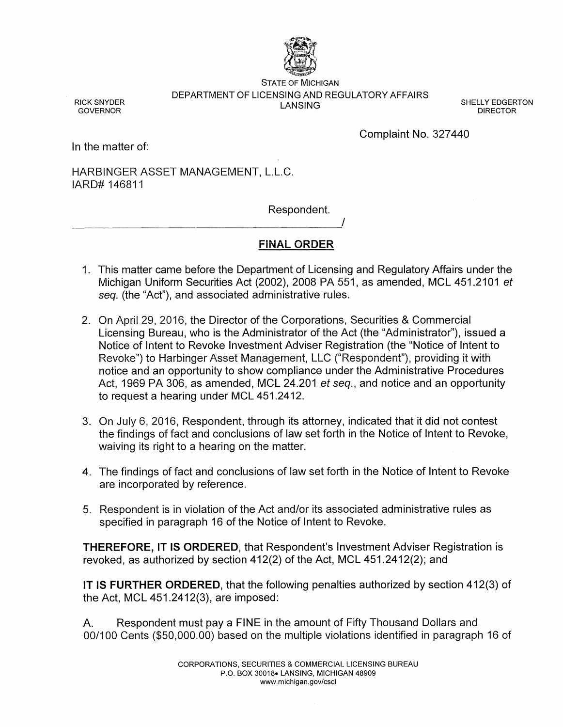

STATE OF MICHIGAN DEPARTMENT OF LICENSING AND REGULATORY AFFAIRS

SHELLY EDGERTON DIRECTOR

RICK SNYDER **GOVERNOR** 

Complaint No. 327440

In the matter of:

HARBINGER ASSET MANAGEMENT, L.L.C. lARD# 146811

----------------------------------------~'

Respondent.

# **FINAL ORDER**

- 1. This matter came before the Department of Licensing and Regulatory Affairs under the Michigan Uniform Securities Act (2002), 2008 PA 551, as amended, MCL 451.2101 et seq. (the "Act"), and associated administrative rules.
- 2. On April 29, 2016, the Director of the Corporations, Securities & Commercial Licensing Bureau, who is the Administrator of the Act (the "Administrator"), issued a Notice of Intent to Revoke Investment Adviser Registration (the "Notice of Intent to Revoke") to Harbinger Asset Management, LLC ("Respondent"), providing it with notice and an opportunity to show compliance under the Administrative Procedures Act, 1969 PA 306, as amended, MCL 24.201 et seq., and notice and an opportunity to request a hearing under MCL 451.2412.
- 3. On july 6, 2016, Respondent, through its attorney, indicated that it did not contest the findings of fact and conclusions of law set forth in the Notice of Intent to Revoke, waiving its right to a hearing on the matter.
- 4. The findings of fact and conclusions of law set forth in the Notice of Intent to Revoke are incorporated by reference.
- 5. Respondent is in violation of the Act and/or its associated administrative rules as specified in paragraph 16 of the Notice of Intent to Revoke.

**THEREFORE, IT IS ORDERED,** that Respondent's Investment Adviser Registration is revoked, as authorized by section 412(2) of the Act, MCL 451.2412(2); and

**IT IS FURTHER ORDERED,** that the following penalties authorized by section 412(3) of the Act, MCL 451.2412(3), are imposed:

A. Respondent must pay a FINE in the amount of Fifty Thousand Dollars and 00/100 Cents (\$50,000.00) based on the multiple violations identified in paragraph 16 of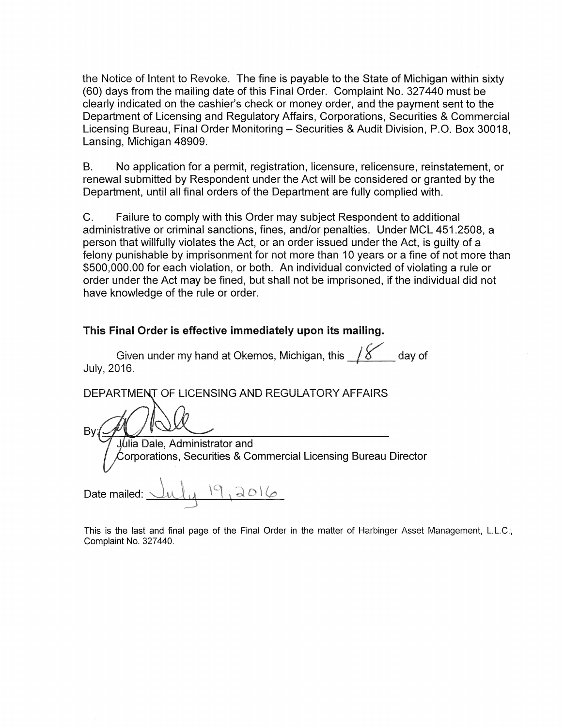the Notice of Intent to Revoke. The fine is payable to the State of Michigan within sixty (60) days from the mailing date of this Final Order. Complaint No. 327 440 must be clearly indicated on the cashier's check or money order, and the payment sent to the Department of Licensing and Regulatory Affairs, Corporations, Securities & Commercial Licensing Bureau, Final Order Monitoring- Securities & Audit Division, P.O. Box 30018, Lansing, Michigan 48909.

B. No application for a permit, registration, licensure, relicensure, reinstatement, or renewal submitted by Respondent under the Act will be considered or granted by the Department, until all final orders of the Department are fully complied with.

C. Failure to comply with this Order may subject Respondent to additional administrative or criminal sanctions, fines, and/or penalties. Under MCL 451.2508, a person that willfully violates the Act, or an order issued under the Act, is guilty of a felony punishable by imprisonment for not more than 10 years or a fine of not more than \$500,000.00 for each violation, or both. An individual convicted of violating a rule or order under the Act may be fined, but shall not be imprisoned, if the individual did not have knowledge of the rule or order.

# This Final Order is effective immediately upon its mailing.

Given under my hand at Okemos, Michigan, this  $\frac{1}{8}$  day of July, 2016.

DEPARTMENT OF LICENSING AND REGULATORY AFFAIRS

 $B$ y: (A)  $\bigcirc$   $\bigcirc$ .J.Uiia Dale, Administrator and  $\acute{\text{C}}$ orporations, Securities & Commercial Licensing Bureau Director  $\langle \cdot, \cdot \rangle$ Date mailed:  $ul_{\mathcal{U}}$   $\mathcal{P},$   $\partial$   $\mathcal{O}$   $\varphi$ 

This is the last and final page of the Final Order in the matter of Harbinger Asset Management, L.L.C., Complaint No. 327440.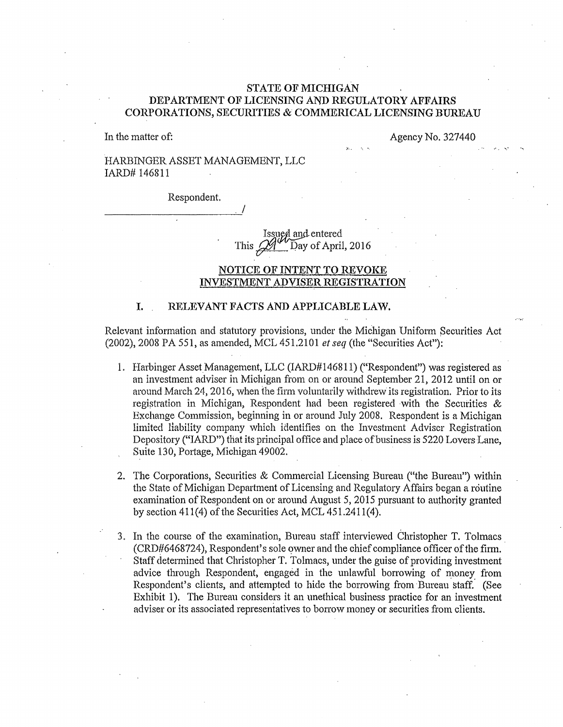## STATE OF MICHIGAN DEPARTMENT OF LICENSING AND REGULATORY AFFAIRS CORPORATIONS, SECURITIES & COMMERICAL LICENSING BUREAU

 $\lambda$ .

In the matter of:

Agency No. 327440

 $\sigma_{\rm eff}$  -  $\sigma_{\rm e}$ 

## HARBINGER ASSET MANAGEMENT, LLC lARD# 146811

Respondent.

Issued and entered<br>This  $24$  Day of April Day of April, 2016

### NOTICE OF INTENT TO REVOKE INVESTMENT ADVISER REGISTRATION

#### I. RELEVANT FACTS AND APPLICABLE LAW.

 $\overline{\phantom{a}}$ 

Relevant information and statutory provisions, under the MiChigan Unifotm Securities Act (2002), 2008 PA 551, as amended, MCL 451.2101 *et seq* (the "Securities Act"):

- 1. Harbinger Asset Management, LLC (lARD# 146811) ("Respondent") was registered as an investment adviser in Michigan from on or around September 21, 2012 until on or around March 24, 2016, when the firm voluntarily withdrew its registration. Prior to its registration in Michigan, Respondent had been registered with the Securities & Exchange Commission, beginning in or around July 2008. Respondent is a Michigan limited liability company which identifies on the Investment Adviser Registration Depository ("IARD") that its principal office and place of business is 5220 Lovers Lane, Suite 130, Portage, Michigan 49002.
- 2. The Corporations, Securities & Commercial Licensing Bureau ("the Bureau") within the State of Michigan Department of Licensing and Regulatory Affairs began a routine examination of Respondent on or around August 5, 2015 pursuant to authority granted by section  $411(4)$  of the Securities Act, MCL  $451.2411(4)$ .
- 3. In the course of the examination, Bureau staff interviewed Christopher T. Tolmacs. (CRD#6468724), Respondent's sole owner and the chief compliance officer of the firm. Staff determined that Christopher T. Tolmacs, under the guise of providing investment advice through Respondent, engaged in the unlawful borrowing of money from Respondent's clients, and attempted to hide the borrowing from Bureau staff. (See Exhibit 1). The Bureau considers it an unethical business practice for an investment adviser or its associated representatives to borrow money or securities from clients.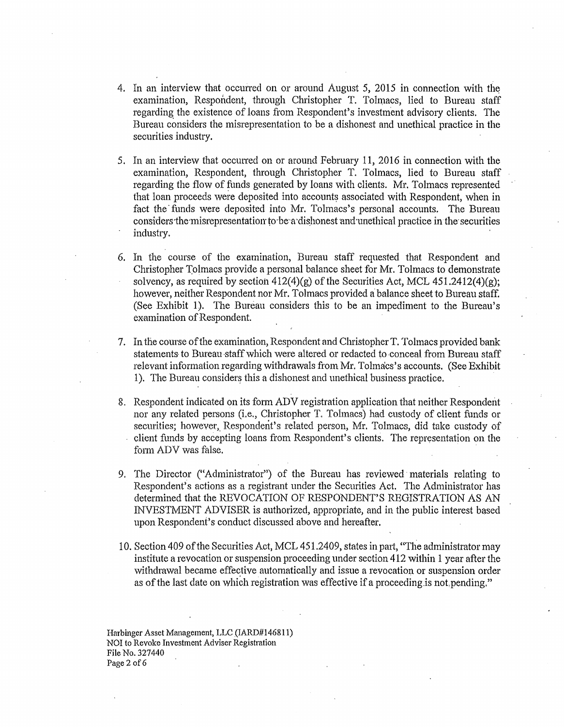- 4. In an interview that occurred on or around August 5, 2015 in connection with the examination, Respondent, through Christopher T. Tolmacs, lied to Bureau staff regarding the existence of loans from Respondent's investment advisory clients. The Bureau considers the misrepresentation to be a dishonest and unethical practice in the securities industry.
- 5. In an interview that occurred on or around February 11, 2016 in connection with the examination, Respondent, through Christopher T. Tolmacs, lied to Bureau staff regarding the flow of funds generated by loans with clients. Mr. Tolmacs represented that loan proceeds were deposited into accounts associated with Respondent, when in fact the funds were deposited into Mr. Tolmacs's personal accounts. The Bureau considers the misrepresentation to be a dishonest and unethical practice in the securities industry.
- 6. In the course of the examination, Bureau staff requested that Respondent and Christopher Tolmacs provide a personal balance sheet for Mr. Tolmacs to demonstrate solvency, as required by section  $412(4)(g)$  of the Securities Act, MCL  $451,2412(4)(g)$ ; however, neither Respondent nor Mr. Tolmacs provided a balance sheet to Bureau staff. (See Exhibit 1). The Bureau considers this to be an impediment to the Bureau's examination of Respondent.
- 7. In the course of the examination, Respondent and Christopher T. Tolmacs provided bank statements to Bureau staff which were altered or redacted to conceal from Bureau staff relevant information regarding withdrawals from Mr. Tolmacs's accounts. (See Exhibit 1). The Bureau considers this a dishonest and unethical business practice.
- 8. Respondent indicated on its fonn ADV registration application that neither Respondent nor any related persons (i.e., Christopher T. Tolmacs) had custody of client funds or securities; however, Respondent's related person, Mr. Tolmacs, did take custody of client funds by accepting loans from Respondent's clients. The representation on the form ADV was false.
- 9. The Director ("Administrator") of the Bureau has reviewed materials relating to Respondent's actions as a registrant under the Securities Act. The Administrator has determined that the REVOCATION OF RESPONDENT'S REGISTRATION AS AN INVESTMENT ADVISER is authorized, appropriate, and in the public interest based upon Respondent's conduct discussed above and hereafter.
- 10. Section 409 of the Securities Act, MCL 451.2409, states in part, "The administrator may institute a revocation or suspension proceeding under section 412 within 1 year after the withdrawal became effective automatically and issue a revocation or suspension order as of the last date on which registration was effective if a proceeding is not pending."

Harbinger Asset Management, LLC (IARD#146811) NOI to Revoke Investment Adviser Registration File No. 327440 Page 2 of 6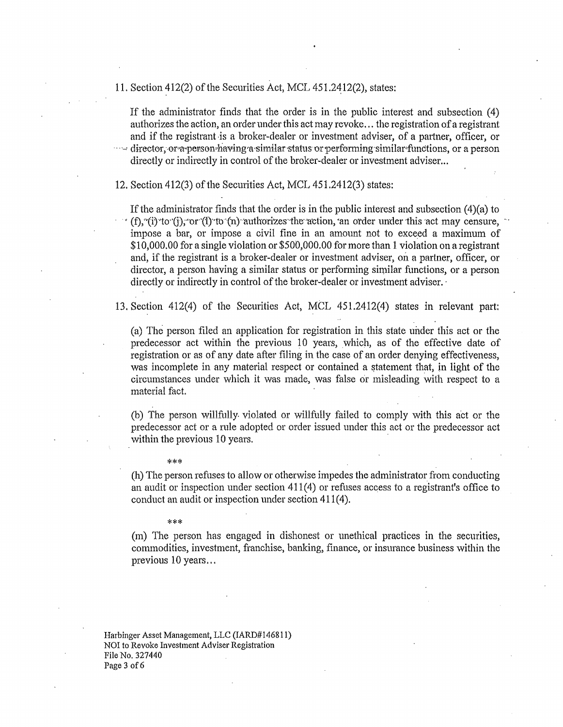11. Section  $412(2)$  of the Securities Act, MCL  $451.2412(2)$ , states:

If the administrator finds that the order is in the public interest and subsection (4) authorizes the action, an order under this act may revoke ... the registration of a registrant and if the registrant is a broker-dealer or investment adviser, of a partner, officer, or ······ director, or a-person-having a similar status or performing similar-functions, or a person

directly or indirectly in control of the broker-dealer or investment adviser...

12. Section  $412(3)$  of the Securities Act, MCL  $451.2412(3)$  states:

If the administrator finds that the order is in the public interest and subsection  $(4)(a)$  to  $(f)$ , "(i) 'to' (j), 'or '(l)' to' (n) authorizes the action, an order under this act may censure, impose a bar, or impose a civil fine in an amount not to exceed a maximum of \$10,000.00 for a single violation or \$500,000.00 for more than 1 violation on a registrant and, if the registrant is a broker-dealer or investment adviser, on a partner, officer, or director, a person having a similar status or performing similar functions, or a person directly or indirectly in control of the broker-dealer or investment adviser.

13. Section 412(4) of the Securities Act, MCL 451.2412(4) states in relevant part:

(a) The person filed an application for registration in this state under this act or the predecessor act within the previous 10 years, which, as of the effective date of registration or as of any date after filing in the case of an order denying effectiveness, was incomplete in any material respect or contained a statement that, in light of the circumstances under which it was made, was false or misleading with respect to a material fact.

(b) The person wilifully. violated or willfuliy failed to comply with this act or the predecessor act or a rule adopted or order issued under this act or the predecessor act within the previous 10 years.

\*\*\*

(h) The person refuses to allow or otherwise impedes the administrator from conducting an audit or inspection under section 411(4) or refuses access to a registrant's office to conduct an audit or inspection under section 411(4).

#### \*\*\*

(m) The person has engaged in dishonest or unethical practices in the securities, commodities, investment, franchise, banking, finance, or insurance business within the previous 10 years...

Harbinger Asset Management, LLC (IARD#l46811) NOI to Revoke Investment Adviser Registration File No. 327440 Page 3 of 6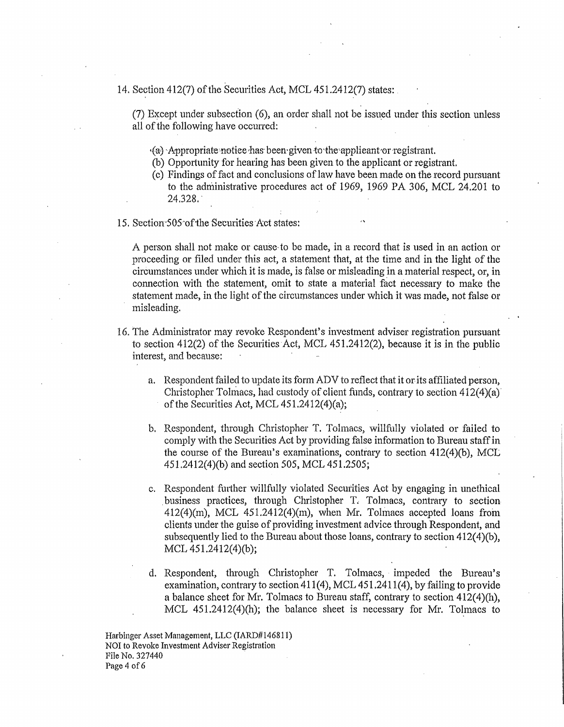14. Section 412(7) of the Securities Act, MCL 451.2412(7) states:

(7) Except under subsection (6), an order shall not be issued under this section unless all of the following have occurred:

•(a) -Appropriate-notiee,has· been· given to·the'applieant·or -registrant

(b) Opportunity for hearing has been given to the applicant or registrant.

- (c) Findings of fact and conclusions oflaw have been made on the record pursuant to the administrative procedures act of 1969, 1969 PA 306, MCL  $24.201$  to 24.328.
- 15. Section·SOs~ofihe Securities Act states:

A person shall not make or cause-to be made, in a record that is used in an action or proceeding or filed under this act, a statement that, at the time and in the light of the circumstances under which it is made, is fa1se or misleading in a material respect, or, in connection with the statement, omit to state a material fact necessary to make the statement made, in the light of the circumstances under which it was made, not false or misleading.

- 16. The Administrator may revoke Respondent's investment adviser registration pursuant to section  $412(2)$  of the Securities Act, MCL  $451.2412(2)$ , because it is in the public interest, and because:
	- a. Respondent failed to update its form ADV to reflect that it or its affiliated person, Christopher Tolmacs, had custody of client funds, contrary to section  $412(4)(a)$ of the Securities Act, MCL 451.2412(4)(a);
	- b. Respondent, through Christopher T. Tolmacs, willfully violated or failed to comply with the Securities Act by providing false information to Bureau staff in the course of the Bureau's examinations, contrary to section  $412(4)(b)$ , MCL 451.2412(4)(b) and section 505, MCL 451.2505;
	- c. Respondent further willfully violated Securities Act by engaging in unethical . business practices, through Christopher T. Tolmacs, contrary to section  $412(4)(m)$ , MCL  $451.2412(4)(m)$ , when Mr. Tolmacs accepted loans from clients under the guise of providing investment advice through Respondent, and subsequently lied to the Bureau about those loans, contrary to section  $412(4)(b)$ , MCL 451.2412(4)(b);
	- d. Respondent, through Christopher T. Tolmacs, impeded the Bureau's examination, contrary to section  $411(4)$ , MCL  $451,2411(4)$ , by failing to provide a balance sheet for Mr. Tolmacs to Bureau staff, contrary to section 412(4)(h), MCL 451.2412(4)(h); the balance sheet is necessary for Mr. Tolmacs to

Harbinger Asset Management, LLC (IARD#146811) NOI to Revoke Investment Adviser Registration File No. 327440 Page 4 of 6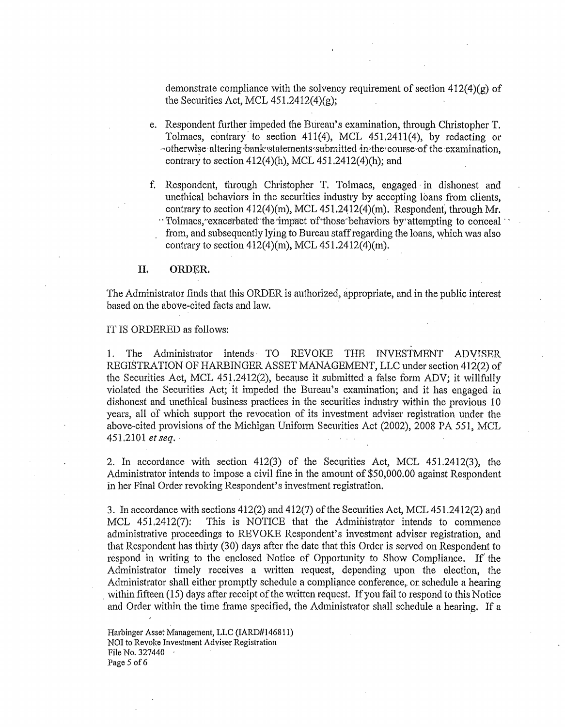demonstrate compliance with the solvency requirement of section  $412(4)(g)$  of the Securities Act, MCL  $451.2412(4)(g)$ ;

- e. Respondent further impeded the Bureau's examination, through Christopher T. Tolmacs, contrary to section 411(4), MCL 451.24rl(4), by redacting or -otherwise altering bank statements submitted in the course of the examination, contrary to section  $412(4)$ (h), MCL  $451.2412(4)$ (h); and
- f. Respondent, through Christopher T. Tolmacs, engaged· in dishonest and unethical behaviors in the securities industry by accepting loans from clients, contrary to section  $412(4)(m)$ , MCL  $451.2412(4)(m)$ . Respondent, through Mr. · Tolmacs, exacerbated the impact of those behaviors by attempting to conceal from, and subsequently lying to Bureau staff regarding the loans, which was also contrary to section  $412(4)(m)$ , MCL  $451.2412(4)(m)$ ,

#### II, ORDER

The Administrator finds that this ORDER is authorized, appropriate, and in the public interest based on the above-cited facts and law.

#### IT IS ORDERED as follows:

1. The Administrator intends· TO REVOKE THE INVESTMENT ADVISER REGISTRATION OF HARBINGER ASSET MANAGEMENT, LLC under section 412(2) of the Securities Act, MCL 451.2412(2), because it submitted a false form ADV; it willfhlly violated the Securities Act; it impeded the Bureau's examination; and it has engaged in dishonest and unethical business practices in the securities industry within the previous 10 years, all of which support the revocation of its investment adviser registration under the above-cited provisions of the Michigan Uniform Securities Act (2002), 2008 PA 551, MCL 451.2101 *et seq.* ·

2. In accordance with section  $412(3)$  of the Securities Act, MCL  $451.2412(3)$ , the Administrator intends to impose a civil fine in the amount of \$50,000.00 against Respondent in her Final Order revoking Respondent's investment registration.

3. In accordance with sections 412(2) and 412(7) of the Securities Act, MCL 451.2412(2) and MCL 451.2412(7): This is NOTICE that the Administrator intends to commence administrative proceedings to REVOKE Respondent's investment adviser registration, and that Respondent has thirty (30) days after the date that this Order is served on Respondent to respond in writing to the enclosed Notice of Opportunity to Show Compliance. If' the Administrator timely receives a written request, depending upon the election, the Administrator shall either promptly schedule a compliance conference,. or schedule a hearing within fifteen  $(15)$  days after receipt of the written request. If you fail to respond to this Notice and Order within the time frame specified, the Administrator shall schedule a hearing. If a

Harbinger Asset Management, LLC (IARD#146811) NOI to Revoke Investment Adviser Registration File No. 327440 Page 5 of 6